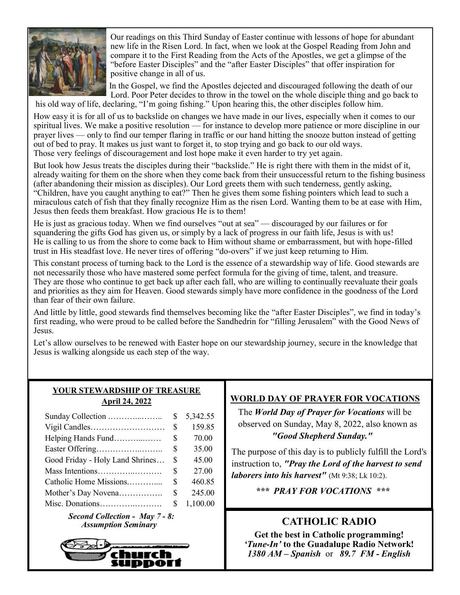

Our readings on this Third Sunday of Easter continue with lessons of hope for abundant new life in the Risen Lord. In fact, when we look at the Gospel Reading from John and compare it to the First Reading from the Acts of the Apostles, we get a glimpse of the "before Easter Disciples" and the "after Easter Disciples" that offer inspiration for positive change in all of us.

In the Gospel, we find the Apostles dejected and discouraged following the death of our Lord. Poor Peter decides to throw in the towel on the whole disciple thing and go back to

his old way of life, declaring, "I'm going fishing." Upon hearing this, the other disciples follow him.

How easy it is for all of us to backslide on changes we have made in our lives, especially when it comes to our spiritual lives. We make a positive resolution — for instance to develop more patience or more discipline in our prayer lives — only to find our temper flaring in traffic or our hand hitting the snooze button instead of getting out of bed to pray. It makes us just want to forget it, to stop trying and go back to our old ways. Those very feelings of discouragement and lost hope make it even harder to try yet again.

But look how Jesus treats the disciples during their "backslide." He is right there with them in the midst of it, already waiting for them on the shore when they come back from their unsuccessful return to the fishing business (after abandoning their mission as disciples). Our Lord greets them with such tenderness, gently asking, "Children, have you caught anything to eat?" Then he gives them some fishing pointers which lead to such a miraculous catch of fish that they finally recognize Him as the risen Lord. Wanting them to be at ease with Him, Jesus then feeds them breakfast. How gracious He is to them!

He is just as gracious today. When we find ourselves "out at sea" — discouraged by our failures or for squandering the gifts God has given us, or simply by a lack of progress in our faith life, Jesus is with us! He is calling to us from the shore to come back to Him without shame or embarrassment, but with hope-filled trust in His steadfast love. He never tires of offering "do-overs" if we just keep returning to Him.

This constant process of turning back to the Lord is the essence of a stewardship way of life. Good stewards are not necessarily those who have mastered some perfect formula for the giving of time, talent, and treasure. They are those who continue to get back up after each fall, who are willing to continually reevaluate their goals and priorities as they aim for Heaven. Good stewards simply have more confidence in the goodness of the Lord than fear of their own failure.

And little by little, good stewards find themselves becoming like the "after Easter Disciples", we find in today's first reading, who were proud to be called before the Sandhedrin for "filling Jerusalem" with the Good News of Jesus.

Let's allow ourselves to be renewed with Easter hope on our stewardship journey, secure in the knowledge that Jesus is walking alongside us each step of the way.

## **YOUR STEWARDSHIP OF TREASURE April 24, 2022**

|                                 | \$ | 5,342.55 |
|---------------------------------|----|----------|
|                                 | \$ | 159.85   |
| Helping Hands Fund              | \$ | 70.00    |
|                                 | S  | 35.00    |
| Good Friday - Holy Land Shrines | S  | 45.00    |
| Mass Intentions                 | \$ | 27.00    |
| Catholic Home Missions          | \$ | 460.85   |
| Mother's Day Novena             | \$ | 245.00   |
|                                 | S  | 1,100.00 |
|                                 |    |          |

*Second Collection - May 7 - 8: Assumption Seminary CATHOLIC RADIO* 



## **WORLD DAY OF PRAYER FOR VOCATIONS**

 The *World Day of Prayer for Vocations* will be observed on Sunday, May 8, 2022, also known as *"Good Shepherd Sunday."* 

The purpose of this day is to publicly fulfill the Lord's instruction to, *"Pray the Lord of the harvest to send laborers into his harvest"* (Mt 9:38; Lk 10:2).

*\*\*\* PRAY FOR VOCATIONS \*\*\**

**Get the best in Catholic programming!**  *'Tune-In'* **to the Guadalupe Radio Network!** *1380 AM – Spanish* or *89.7 FM - English*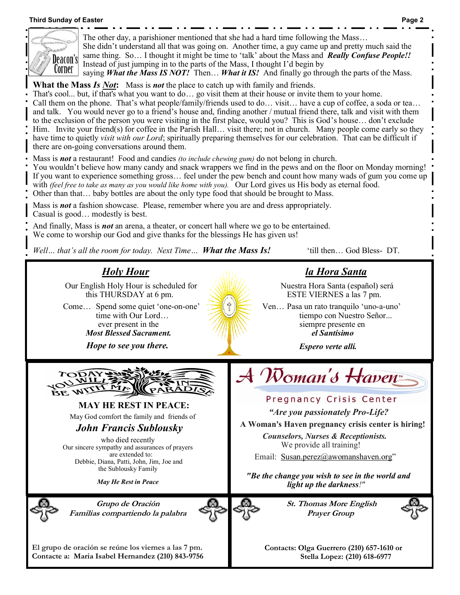### **Third Sunday of Easter Page 2**



The other day, a parishioner mentioned that she had a hard time following the Mass… She didn't understand all that was going on. Another time, a guy came up and pretty much said the same thing. So… I thought it might be time to 'talk' about the Mass and *Really Confuse People!!*  Instead of just jumping in to the parts of the Mass, I thought I'd begin by saying *What the Mass IS NOT!* Then… *What it IS!* And finally go through the parts of the Mass.

**What the Mass** *Is Not***:** Mass is *not* the place to catch up with family and friends.

That's cool... but, if that's what you want to do… go visit them at their house or invite them to your home. Call them on the phone. That's what people/family/friends used to do… visit… have a cup of coffee, a soda or tea… and talk. You would never go to a friend's house and, finding another / mutual friend there, talk and visit with them to the exclusion of the person you were visiting in the first place, would you? This is God's house… don't exclude Him. Invite your friend(s) for coffee in the Parish Hall… visit there; not in church. Many people come early so they have time to quietly *visit with our Lord*; spiritually preparing themselves for our celebration. That can be difficult if there are on-going conversations around them.

Mass is *not* a restaurant! Food and candies *(to include chewing gum)* do not belong in church.

You wouldn't believe how many candy and snack wrappers we find in the pews and on the floor on Monday morning! If you want to experience something gross… feel under the pew bench and count how many wads of gum you come up with *(feel free to take as many as you would like home with you).* Our Lord gives us His body as eternal food. Other than that… baby bottles are about the only type food that should be brought to Mass.

Mass is *not* a fashion showcase. Please, remember where you are and dress appropriately. Casual is good… modestly is best.

And finally, Mass is *not* an arena, a theater, or concert hall where we go to be entertained. We come to worship our God and give thanks for the blessings He has given us!

*Well… that's all the room for today. Next Time… What the Mass Is!* 'till then… God Bless- DT.

# *la Hora Santa*

Nuestra Hora Santa (español) será ESTE VIERNES a las 7 pm.

Ven… Pasa un rato tranquilo 'uno-a-uno' tiempo con Nuestro Señor... siempre presente en *el Santísimo*

*Espero verte allí.*

*"Are you passionately Pro-Life?*  **A Woman's Haven pregnancy crisis center is hiring!**  *Counselors, Nurses & Receptionists.*  We provide all training! Email: [Susan.perez@awomanshaven.org](mailto:Susan.perez@awomanshaven.org)"

Pregnancy Crisis Center

Woman's Haven



*Holy Hour* Our English Holy Hour is scheduled for this THURSDAY at 6 pm. Come… Spend some quiet 'one-on-one' time with Our Lord… ever present in the *Most Blessed Sacrament. Hope to see you there.*

**MAY HE REST IN PEACE:** 

May God comfort the family and friends of

## *John Francis Sublousky*

who died recently Our sincere sympathy and assurances of prayers are extended to: Debbie, Diana, Patti, John, Jim, Joe and the Sublousky Family

*May He Rest in Peace*



**Grupo de Oración Familias compartiendo la palabra**



**St. Thomas More English Prayer Group**

*"Be the change you wish to see in the world and light up the darkness!"*



**El grupo de oración se reúne los viernes a las 7 pm. Contacte a: Maria Isabel Hernandez (210) 843-9756** **Contacts: Olga Guerrero (210) 657-1610 or Stella Lopez: (210) 618-6977**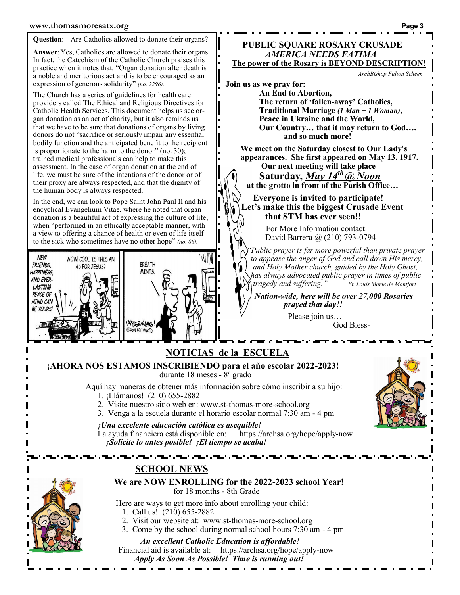#### **Question**: Are Catholics allowed to donate their organs?

**Answer**:Yes, Catholics are allowed to donate their organs. In fact, the Catechism of the Catholic Church praises this practice when it notes that, "Organ donation after death is a noble and meritorious act and is to be encouraged as an expression of generous solidarity" *(no. 2296)*.

The Church has a series of guidelines for health care providers called The Ethical and Religious Directives for Catholic Health Services. This document helps us see organ donation as an act of charity, but it also reminds us that we have to be sure that donations of organs by living donors do not "sacrifice or seriously impair any essential bodily function and the anticipated benefit to the recipient is proportionate to the harm to the donor" (no. 30); trained medical professionals can help to make this assessment. In the case of organ donation at the end of life, we must be sure of the intentions of the donor or of their proxy are always respected, and that the dignity of the human body is always respected.

In the end, we can look to Pope Saint John Paul II and his encyclical Evangelium Vitae, where he noted that organ donation is a beautiful act of expressing the culture of life, when "performed in an ethically acceptable manner, with a view to offering a chance of health or even of life itself to the sick who sometimes have no other hope" *(no. 86).*



## **PUBLIC SQUARE ROSARY CRUSADE** *AMERICA NEEDS FATIMA*  **The power of the Rosary is BEYOND DESCRIPTION!**

*ArchBishop Fulton Scheen*

**Join us as we pray for:** 

**An End to Abortion, The return of 'fallen-away' Catholics, Traditional Marriage** *(1 Man + 1 Woman)***, Peace in Ukraine and the World, Our Country… that it may return to God…. and so much more!**

**We meet on the Saturday closest to Our Lady's appearances. She first appeared on May 13, 1917.**

**Our next meeting will take place Saturday,** *May 14th @ Noon*  **at the grotto in front of the Parish Office…** 

 **Everyone is invited to participate! Let's make this the biggest Crusade Event that STM has ever seen!!**

> **For More Information contact:** David Barrera @ (210) 793-0794

*"Public prayer is far more powerful than private prayer to appease the anger of God and call down His mercy, and Holy Mother church, guided by the Holy Ghost, has always advocated public prayer in times of public tragedy and suffering." St. Louis Marie de Montfort*

*Nation-wide, here will be over 27,000 Rosaries prayed that day!!*

> Please join us… God Bless-

## **SCHOOL NEWS We are NOW ENROLLING for the 2022-2023 school Year!**  for 18 months - 8th Grade Here are ways to get more info about enrolling your child: 1. Call us! (210) 655-2882 2. Visit our website at: www.st-thomas-more-school.org 3. Come by the school during normal school hours 7:30 am - 4 pm *An excellent Catholic Education is affordable!* Financial aid is available at: https://archsa.org/hope/apply-now *Apply As Soon As Possible! Time is running out!* **NOTICIAS de la ESCUELA ¡AHORA NOS ESTAMOS INSCRIBIENDO para el año escolar 2022-2023!**  durante 18 meses - 8º grado Aquí hay maneras de obtener más información sobre cómo inscribir a su hijo: 1. ¡Llámanos! (210) 655-2882 2. Visite nuestro sitio web en: www.st-thomas-more-school.org 3. Venga a la escuela durante el horario escolar normal 7:30 am - 4 pm *<i>¡Una excelente educación católica es asequible!*<br>La ayuda financiera está disponible en: https://archsa.org/hope/apply-now La ayuda financiera está disponible en: *¡Solicite lo antes posible! ¡El tiempo se acaba!*